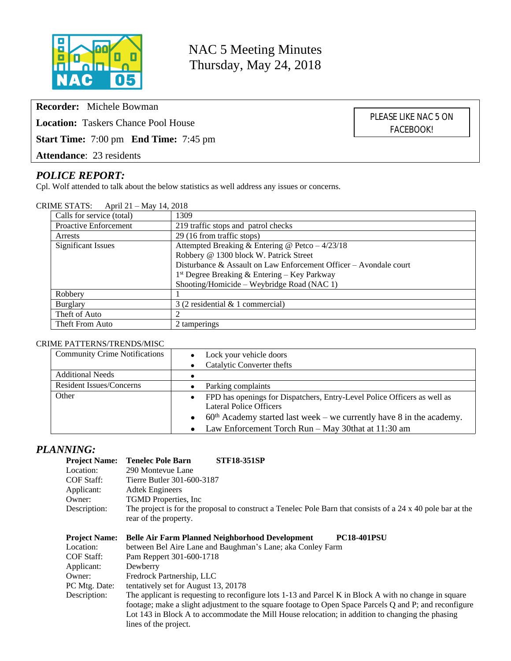

NAC 5 Meeting Minutes Thursday, May 24, 2018

**Recorder:** Michele Bowman

**Location:** Taskers Chance Pool House

**Start Time:** 7:00 pm **End Time:** 7:45 pm

**Attendance**: 23 residents

# *POLICE REPORT:*

Cpl. Wolf attended to talk about the below statistics as well address any issues or concerns.

| Calls for service (total)    | 1309                                                              |
|------------------------------|-------------------------------------------------------------------|
| <b>Proactive Enforcement</b> | 219 traffic stops and patrol checks                               |
| Arrests                      | 29 (16 from traffic stops)                                        |
| Significant Issues           | Attempted Breaking & Entering @ Petco $-4/23/18$                  |
|                              | Robbery @ 1300 block W. Patrick Street                            |
|                              | Disturbance & Assault on Law Enforcement Officer – Avondale court |
|                              | $1st$ Degree Breaking & Entering – Key Parkway                    |
|                              | Shooting/Homicide – Weybridge Road (NAC 1)                        |
| Robbery                      |                                                                   |
| <b>Burglary</b>              | $3(2$ residential $& 1$ commercial)                               |
| Theft of Auto                |                                                                   |
| Theft From Auto              | 2 tamperings                                                      |

#### CRIME PATTERNS/TRENDS/MISC

| <b>Community Crime Notifications</b> | Lock your vehicle doors                                                  |
|--------------------------------------|--------------------------------------------------------------------------|
|                                      | <b>Catalytic Converter thefts</b>                                        |
| <b>Additional Needs</b>              |                                                                          |
| <b>Resident Issues/Concerns</b>      | Parking complaints                                                       |
| Other                                | FPD has openings for Dispatchers, Entry-Level Police Officers as well as |
|                                      | Lateral Police Officers                                                  |
|                                      | $60th$ Academy started last week – we currently have 8 in the academy.   |
|                                      | Law Enforcement Torch Run – May 30that at 11:30 am                       |

## *PLANNING:*

| <b>Project Name:</b> | <b>STF18-351SP</b><br><b>Tenelec Pole Barn</b>                                                                                       |  |  |
|----------------------|--------------------------------------------------------------------------------------------------------------------------------------|--|--|
|                      |                                                                                                                                      |  |  |
| Location:            | 290 Montevue Lane                                                                                                                    |  |  |
| <b>COF Staff:</b>    | Tierre Butler 301-600-3187                                                                                                           |  |  |
| Applicant:           | <b>Adtek Engineers</b>                                                                                                               |  |  |
| Owner:               | <b>TGMD</b> Properties, Inc.                                                                                                         |  |  |
| Description:         | The project is for the proposal to construct a Tenelec Pole Barn that consists of a 24 x 40 pole bar at the<br>rear of the property. |  |  |
| <b>Project Name:</b> | <b>PC18-401PSU</b><br><b>Belle Air Farm Planned Neighborhood Development</b>                                                         |  |  |
| Location:            | between Bel Aire Lane and Baughman's Lane; aka Conley Farm                                                                           |  |  |
| <b>COF Staff:</b>    | Pam Reppert 301-600-1718                                                                                                             |  |  |
| Applicant:           | Dewberry                                                                                                                             |  |  |
| Owner:               | Fredrock Partnership, LLC                                                                                                            |  |  |
| PC Mtg. Date:        | tentatively set for August 13, 20178                                                                                                 |  |  |
| Description:         | The applicant is requesting to reconfigure lots 1-13 and Parcel K in Block A with no change in square                                |  |  |
|                      | footage; make a slight adjustment to the square footage to Open Space Parcels Q and P; and reconfigure                               |  |  |
|                      | Lot 143 in Block A to accommodate the Mill House relocation; in addition to changing the phasing                                     |  |  |
|                      | lines of the project.                                                                                                                |  |  |

PLEASE LIKE NAC 5 ON FACEBOOK!